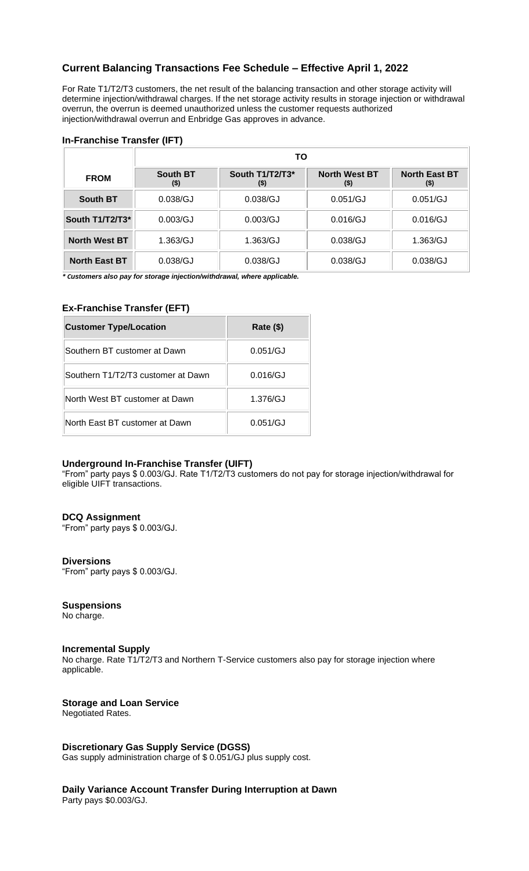# **Current Balancing Transactions Fee Schedule – Effective April 1, 2022**

 For Rate T1/T2/T3 customers, the net result of the balancing transaction and other storage activity will determine injection/withdrawal charges. If the net storage activity results in storage injection or withdrawal overrun, the overrun is deemed unauthorized unless the customer requests authorized injection/withdrawal overrun and Enbridge Gas approves in advance.

# **In-Franchise Transfer (IFT)**

|                      | ΤО                     |                        |                             |                             |
|----------------------|------------------------|------------------------|-----------------------------|-----------------------------|
| <b>FROM</b>          | <b>South BT</b><br>(5) | South T1/T2/T3*<br>(5) | <b>North West BT</b><br>(5) | <b>North East BT</b><br>(5) |
| <b>South BT</b>      | 0.038/GJ               | 0.038/GJ               | 0.051/GJ                    | 0.051/GJ                    |
| South T1/T2/T3*      | 0.003/GJ               | 0.003/GJ               | 0.016/GJ                    | 0.016/GJ                    |
| <b>North West BT</b> | 1.363/GJ               | 1.363/GJ               | 0.038/GJ                    | 1.363/GJ                    |
| <b>North East BT</b> | 0.038/GJ               | 0.038/GJ               | 0.038/GJ                    | 0.038/GJ                    |

 *\* Customers also pay for storage injection/withdrawal, where applicable.* 

## **Ex-Franchise Transfer (EFT)**

| <b>Customer Type/Location</b>      | Rate (\$) |
|------------------------------------|-----------|
| Southern BT customer at Dawn       | 0.051/GJ  |
| Southern T1/T2/T3 customer at Dawn | 0.016/GJ  |
| North West BT customer at Dawn     | 1.376/GJ  |
| North East BT customer at Dawn     | 0.051/GJ  |

### **Underground In-Franchise Transfer (UIFT)**

"From" party pays \$ 0.003/GJ. Rate T1/T2/T3 customers do not pay for storage injection/withdrawal for eligible UIFT transactions.

# **DCQ Assignment**

"From" party pays \$ 0.003/GJ.

### **Diversions**

"From" party pays \$ 0.003/GJ.

### **Suspensions**

No charge.

## **Incremental Supply**

No charge. Rate T1/T2/T3 and Northern T-Service customers also pay for storage injection where applicable.

# **Storage and Loan Service**

Negotiated Rates.

## **Discretionary Gas Supply Service (DGSS)**

Gas supply administration charge of \$ 0.051/GJ plus supply cost.

 **Daily Variance Account Transfer During Interruption at Dawn**  Party pays \$0.003/GJ.